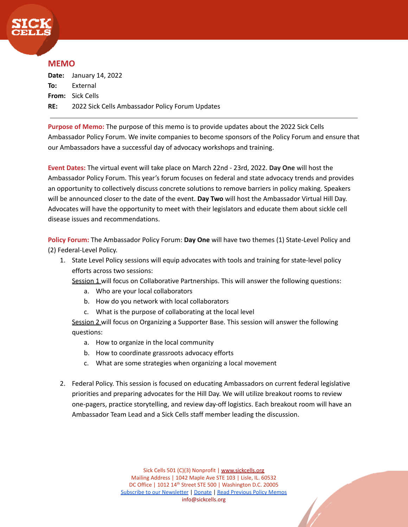

## **MEMO**

**Date:** January 14, 2022 **To:** External **From:** Sick Cells **RE:** 2022 Sick Cells Ambassador Policy Forum Updates

**Purpose of Memo:** The purpose of this memo is to provide updates about the 2022 Sick Cells Ambassador Policy Forum. We invite companies to become sponsors of the Policy Forum and ensure that our Ambassadors have a successful day of advocacy workshops and training.

**Event Dates:** The virtual event will take place on March 22nd - 23rd, 2022. **Day One** will host the Ambassador Policy Forum. This year's forum focuses on federal and state advocacy trends and provides an opportunity to collectively discuss concrete solutions to remove barriers in policy making. Speakers will be announced closer to the date of the event. **Day Two** will host the Ambassador Virtual Hill Day. Advocates will have the opportunity to meet with their legislators and educate them about sickle cell disease issues and recommendations.

**Policy Forum:** The Ambassador Policy Forum: **Day One** will have two themes (1) State-Level Policy and (2) Federal-Level Policy.

- 1. State Level Policy sessions will equip advocates with tools and training for state-level policy efforts across two sessions:
	- Session 1 will focus on Collaborative Partnerships. This will answer the following questions:
		- a. Who are your local collaborators
		- b. How do you network with local collaborators
		- c. What is the purpose of collaborating at the local level

Session 2 will focus on Organizing a Supporter Base. This session will answer the following questions:

- a. How to organize in the local community
- b. How to coordinate grassroots advocacy efforts
- c. What are some strategies when organizing a local movement
- 2. Federal Policy. This session is focused on educating Ambassadors on current federal legislative priorities and preparing advocates for the Hill Day. We will utilize breakout rooms to review one-pagers, practice storytelling, and review day-off logistics. Each breakout room will have an Ambassador Team Lead and a Sick Cells staff member leading the discussion.

Sick Cells 501 (C)(3) Nonprofit | [www.sickcells.org](http://www.sickcells.org) Mailing Address | 1042 Maple Ave STE 103 | Lisle, IL. 60532 DC Office | 1012 14th Street STE 500 | Washington D.C. 20005 [Subscribe to our Newsletter](https://sickcells.org/newsletters/) | [Donate](https://sickcells.org/donate/) | [Read Previous](https://sickcells.org/policy-and-legislation/) Policy Memos info@sickcells.org